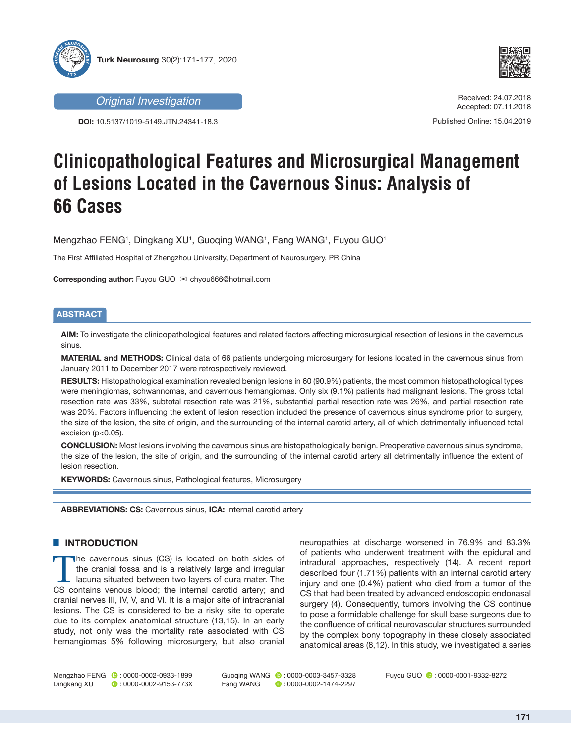



**DOI:** 10.5137/1019-5149.JTN.24341-18.3

*Original Investigation* Received: 24.07.2018 Accepted: 07.11.2018

Published Online: 15.04.2019

# **Clinicopathological Features and Microsurgical Management of Lesions Located in the Cavernous Sinus: Analysis of 66 Cases**

Mengzhao FENG1, Dingkang XU1, Guoqing WANG1, Fang WANG1, Fuyou GUO1

The First Affiliated Hospital of Zhengzhou University, Department of Neurosurgery, PR China

**Corresponding author:** Fuyou GUO  $\boxtimes$  chyou666@hotmail.com

# **ABSTRACT**

**AIM:** To investigate the clinicopathological features and related factors affecting microsurgical resection of lesions in the cavernous sinus.

**MATERIAL and METHODS:** Clinical data of 66 patients undergoing microsurgery for lesions located in the cavernous sinus from January 2011 to December 2017 were retrospectively reviewed.

**RESULTS:** Histopathological examination revealed benign lesions in 60 (90.9%) patients, the most common histopathological types were meningiomas, schwannomas, and cavernous hemangiomas. Only six (9.1%) patients had malignant lesions. The gross total resection rate was 33%, subtotal resection rate was 21%, substantial partial resection rate was 26%, and partial resection rate was 20%. Factors influencing the extent of lesion resection included the presence of cavernous sinus syndrome prior to surgery, the size of the lesion, the site of origin, and the surrounding of the internal carotid artery, all of which detrimentally influenced total excision (p<0.05).

**CONCLUSION:** Most lesions involving the cavernous sinus are histopathologically benign. Preoperative cavernous sinus syndrome, the size of the lesion, the site of origin, and the surrounding of the internal carotid artery all detrimentally influence the extent of lesion resection.

**KEYWORDS:** Cavernous sinus, Pathological features, Microsurgery

**ABBREVIATIONS: CS:** Cavernous sinus, **ICA:** Internal carotid artery

## **E INTRODUCTION**

The cavernous sinus (CS) is located on both sides of the cranial fossa and is a relatively large and irregular lacuna situated between two layers of dura mater. The CS contains venous blood; the internal carotid artery; and cranial nerves III, IV, V, and VI. It is a major site of intracranial lesions. The CS is considered to be a risky site to operate due to its complex anatomical structure (13,15). In an early study, not only was the mortality rate associated with CS hemangiomas 5% following microsurgery, but also cranial

neuropathies at discharge worsened in 76.9% and 83.3% of patients who underwent treatment with the epidural and intradural approaches, respectively (14). A recent report described four (1.71%) patients with an internal carotid artery injury and one (0.4%) patient who died from a tumor of the CS that had been treated by advanced endoscopic endonasal surgery (4). Consequently, tumors involving the CS continue to pose a formidable challenge for skull base surgeons due to the confluence of critical neurovascular structures surrounded by the complex bony topography in these closely associated anatomical areas (8,12). In this study, we investigated a series

Guoging WANG **b**: 0000-0003-3457-3328 FangWANG **:** 0000-0002-1474-2297

Fuyou GUO **:** 0000-0001-9332-8272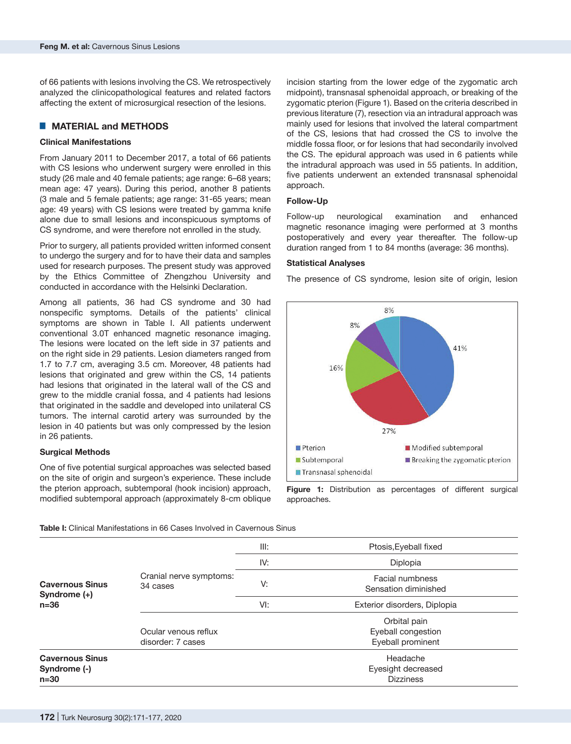of 66 patients with lesions involving the CS. We retrospectively analyzed the clinicopathological features and related factors affecting the extent of microsurgical resection of the lesions.

## █ **MATERIAL and METHODS**

## **Clinical Manifestations**

From January 2011 to December 2017, a total of 66 patients with CS lesions who underwent surgery were enrolled in this study (26 male and 40 female patients; age range: 6–68 years; mean age: 47 years). During this period, another 8 patients (3 male and 5 female patients; age range: 31-65 years; mean age: 49 years) with CS lesions were treated by gamma knife alone due to small lesions and inconspicuous symptoms of CS syndrome, and were therefore not enrolled in the study.

Prior to surgery, all patients provided written informed consent to undergo the surgery and for to have their data and samples used for research purposes. The present study was approved by the Ethics Committee of Zhengzhou University and conducted in accordance with the Helsinki Declaration.

Among all patients, 36 had CS syndrome and 30 had nonspecific symptoms. Details of the patients' clinical symptoms are shown in Table I. All patients underwent conventional 3.0T enhanced magnetic resonance imaging. The lesions were located on the left side in 37 patients and on the right side in 29 patients. Lesion diameters ranged from 1.7 to 7.7 cm, averaging 3.5 cm. Moreover, 48 patients had lesions that originated and grew within the CS, 14 patients had lesions that originated in the lateral wall of the CS and grew to the middle cranial fossa, and 4 patients had lesions that originated in the saddle and developed into unilateral CS tumors. The internal carotid artery was surrounded by the lesion in 40 patients but was only compressed by the lesion in 26 patients.

#### **Surgical Methods**

One of five potential surgical approaches was selected based on the site of origin and surgeon's experience. These include the pterion approach, subtemporal (hook incision) approach, modified subtemporal approach (approximately 8-cm oblique

incision starting from the lower edge of the zygomatic arch midpoint), transnasal sphenoidal approach, or breaking of the zygomatic pterion (Figure 1). Based on the criteria described in previous literature (7), resection via an intradural approach was mainly used for lesions that involved the lateral compartment of the CS, lesions that had crossed the CS to involve the middle fossa floor, or for lesions that had secondarily involved the CS. The epidural approach was used in 6 patients while the intradural approach was used in 55 patients. In addition, five patients underwent an extended transnasal sphenoidal approach.

### **Follow-Up**

Follow-up neurological examination and enhanced magnetic resonance imaging were performed at 3 months postoperatively and every year thereafter. The follow-up duration ranged from 1 to 84 months (average: 36 months).

#### **Statistical Analyses**

The presence of CS syndrome, lesion site of origin, lesion



**Figure 1:** Distribution as percentages of different surgical approaches.

| <b>Table I:</b> Clinical Manifestations in 66 Cases Involved in Cavernous Sinus |
|---------------------------------------------------------------------------------|
|---------------------------------------------------------------------------------|

| <b>Cavernous Sinus</b><br>Syndrome $(+)$<br>$n=36$                                                                            | Cranial nerve symptoms:<br>34 cases | III: | Ptosis, Eyeball fixed                   |  |  |
|-------------------------------------------------------------------------------------------------------------------------------|-------------------------------------|------|-----------------------------------------|--|--|
|                                                                                                                               |                                     | IV:  | Diplopia                                |  |  |
|                                                                                                                               |                                     | V:   | Facial numbness<br>Sensation diminished |  |  |
|                                                                                                                               |                                     | VI:  | Exterior disorders, Diplopia            |  |  |
|                                                                                                                               |                                     |      | Orbital pain                            |  |  |
| Ocular venous reflux<br>disorder: 7 cases<br>Headache<br><b>Cavernous Sinus</b><br>Syndrome (-)<br><b>Dizziness</b><br>$n=30$ | Eyeball congestion                  |      |                                         |  |  |
|                                                                                                                               |                                     |      | Eyeball prominent                       |  |  |
|                                                                                                                               |                                     |      |                                         |  |  |
|                                                                                                                               |                                     |      | Eyesight decreased                      |  |  |
|                                                                                                                               |                                     |      |                                         |  |  |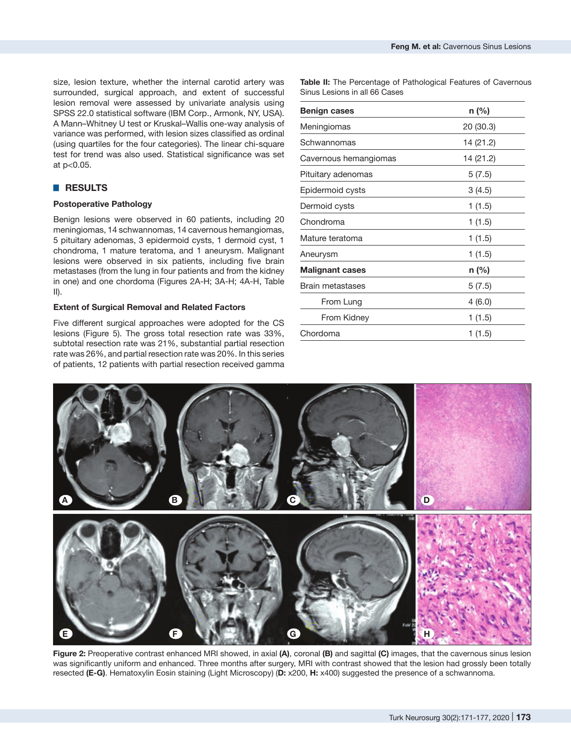size, lesion texture, whether the internal carotid artery was surrounded, surgical approach, and extent of successful lesion removal were assessed by univariate analysis using SPSS 22.0 statistical software (IBM Corp., Armonk, NY, USA). A Mann–Whitney U test or Kruskal–Wallis one-way analysis of variance was performed, with lesion sizes classified as ordinal (using quartiles for the four categories). The linear chi-square test for trend was also used. Statistical significance was set at p<0.05.

# █ **RESULTS**

## **Postoperative Pathology**

Benign lesions were observed in 60 patients, including 20 meningiomas, 14 schwannomas, 14 cavernous hemangiomas, 5 pituitary adenomas, 3 epidermoid cysts, 1 dermoid cyst, 1 chondroma, 1 mature teratoma, and 1 aneurysm. Malignant lesions were observed in six patients, including five brain metastases (from the lung in four patients and from the kidney in one) and one chordoma (Figures 2A-H; 3A-H; 4A-H, Table  $II$ ).

### **Extent of Surgical Removal and Related Factors**

Five different surgical approaches were adopted for the CS lesions (Figure 5). The gross total resection rate was 33%, subtotal resection rate was 21%, substantial partial resection rate was 26%, and partial resection rate was 20%. In this series of patients, 12 patients with partial resection received gamma **Table II:** The Percentage of Pathological Features of Cavernous Sinus Lesions in all 66 Cases

| <b>Benign cases</b>     | $n$ (%)   |  |  |  |
|-------------------------|-----------|--|--|--|
| Meningiomas             | 20(30.3)  |  |  |  |
| Schwannomas             | 14 (21.2) |  |  |  |
| Cavernous hemangiomas   | 14 (21.2) |  |  |  |
| Pituitary adenomas      | 5(7.5)    |  |  |  |
| Epidermoid cysts        | 3(4.5)    |  |  |  |
| Dermoid cysts           | 1(1.5)    |  |  |  |
| Chondroma               | 1(1.5)    |  |  |  |
| Mature teratoma         | 1(1.5)    |  |  |  |
| Aneurysm                | 1(1.5)    |  |  |  |
| <b>Malignant cases</b>  | $n$ (%)   |  |  |  |
| <b>Brain metastases</b> | 5(7.5)    |  |  |  |
| From Lung               | 4(6.0)    |  |  |  |
| From Kidney             | 1(1.5)    |  |  |  |
| Chordoma                | 1 (1.5)   |  |  |  |



**Figure 2:** Preoperative contrast enhanced MRI showed, in axial **(A)**, coronal **(B)** and sagittal **(C)** images, that the cavernous sinus lesion was significantly uniform and enhanced. Three months after surgery, MRI with contrast showed that the lesion had grossly been totally resected **(E-G)**. Hematoxylin Eosin staining (Light Microscopy) (**D:** x200, **H:** x400) suggested the presence of a schwannoma.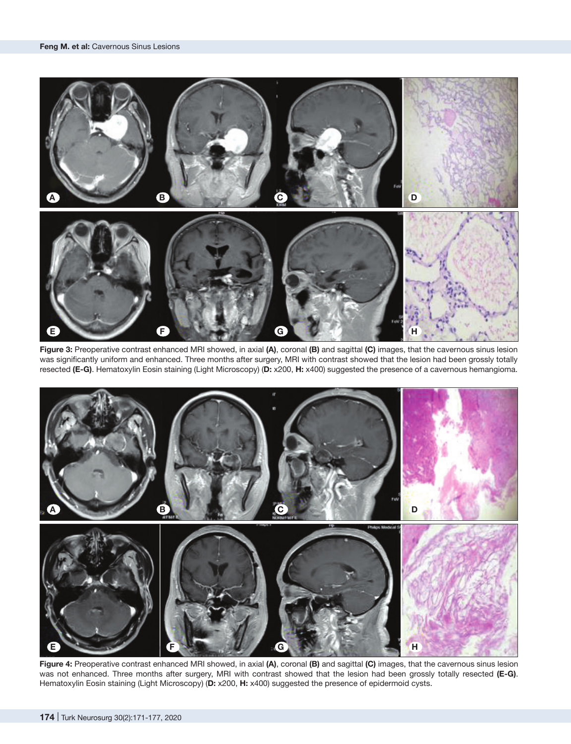

**Figure 3:** Preoperative contrast enhanced MRI showed, in axial **(A)**, coronal **(B)** and sagittal **(C)** images, that the cavernous sinus lesion was significantly uniform and enhanced. Three months after surgery, MRI with contrast showed that the lesion had been grossly totally resected **(E-G)**. Hematoxylin Eosin staining (Light Microscopy) (**D:** x200, **H:** x400) suggested the presence of a cavernous hemangioma.



**Figure 4:** Preoperative contrast enhanced MRI showed, in axial **(A)**, coronal **(B)** and sagittal **(C)** images, that the cavernous sinus lesion was not enhanced. Three months after surgery, MRI with contrast showed that the lesion had been grossly totally resected **(E-G)**. Hematoxylin Eosin staining (Light Microscopy) (**D:** x200, **H:** x400) suggested the presence of epidermoid cysts.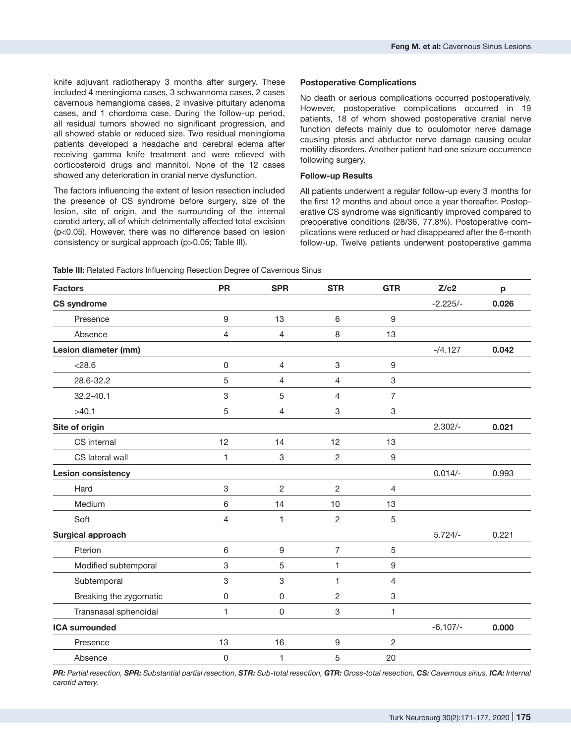knife adjuvant radiotherapy 3 months after surgery. These included 4 meningioma cases, 3 schwannoma cases, 2 cases cavernous hemangioma cases, 2 invasive pituitary adenoma cases, and 1 chordoma case. During the follow-up period, all residual tumors showed no significant progression, and all showed stable or reduced size. Two residual meningioma patients developed a headache and cerebral edema after receiving gamma knife treatment and were relieved with corticosteroid drugs and mannitol. None of the 12 cases showed any deterioration in cranial nerve dysfunction.

The factors influencing the extent of lesion resection included the presence of CS syndrome before surgery, size of the lesion, site of origin, and the surrounding of the internal carotid artery, all of which detrimentally affected total excision (p<0.05). However, there was no difference based on lesion consistency or surgical approach (p>0.05; Table III).

#### **Postoperative Complications**

No death or serious complications occurred postoperatively. However, postoperative complications occurred in 19 patients, 18 of whom showed postoperative cranial nerve function defects mainly due to oculomotor nerve damage causing ptosis and abductor nerve damage causing ocular motility disorders. Another patient had one seizure occurrence following surgery.

### **Follow-up Results**

All patients underwent a regular follow-up every 3 months for the first 12 months and about once a year thereafter. Postoperative CS syndrome was significantly improved compared to preoperative conditions (28/36, 77.8%). Postoperative complications were reduced or had disappeared after the 6-month follow-up. Twelve patients underwent postoperative gamma

| <b>Factors</b>            | <b>PR</b>   | <b>SPR</b>     | <b>STR</b>     | <b>GTR</b> | Z/c2       | p     |
|---------------------------|-------------|----------------|----------------|------------|------------|-------|
| <b>CS syndrome</b>        |             |                |                |            | $-2.225/-$ | 0.026 |
| Presence                  | $\mathsf g$ | 13             | 6              | 9          |            |       |
| Absence                   | 4           | 4              | 8              | 13         |            |       |
| Lesion diameter (mm)      |             |                |                |            | $-74.127$  | 0.042 |
| < 28.6                    | $\mathsf 0$ | $\overline{4}$ | 3              | 9          |            |       |
| 28.6-32.2                 | 5           | 4              | 4              | 3          |            |       |
| 32.2-40.1                 | 3           | 5              | 4              | 7          |            |       |
| >40.1                     | 5           | 4              | 3              | 3          |            |       |
| Site of origin            |             |                |                |            | $2.302/-$  | 0.021 |
| CS internal               | 12          | 14             | 12             | 13         |            |       |
| CS lateral wall           | 1           | 3              | $\overline{c}$ | 9          |            |       |
| <b>Lesion consistency</b> |             |                |                |            | $0.014/-$  | 0.993 |
| Hard                      | 3           | $\overline{c}$ | $\overline{c}$ | 4          |            |       |
| Medium                    | 6           | 14             | 10             | 13         |            |       |
| Soft                      | 4           | 1              | $\overline{c}$ | 5          |            |       |
| Surgical approach         |             |                |                |            | $5.724/-$  | 0.221 |
| Pterion                   | 6           | 9              | $\overline{7}$ | 5          |            |       |
| Modified subtemporal      | 3           | 5              | 1              | 9          |            |       |
| Subtemporal               | 3           | 3              | 1              | 4          |            |       |
| Breaking the zygomatic    | $\mathsf 0$ | 0              | $\overline{2}$ | 3          |            |       |
| Transnasal sphenoidal     | 1           | 0              | 3              | 1          |            |       |
| <b>ICA surrounded</b>     |             |                |                |            | $-6.107/-$ | 0.000 |
| Presence                  | 13          | 16             | 9              | 2          |            |       |
| Absence                   | 0           | 1              | 5              | 20         |            |       |

**Table III:** Related Factors Influencing Resection Degree of Cavernous Sinus

PR: Partial resection, SPR: Substantial partial resection, STR: Sub-total resection, GTR: Gross-total resection, CS: Cavernous sinus, ICA: Internal *carotid artery.*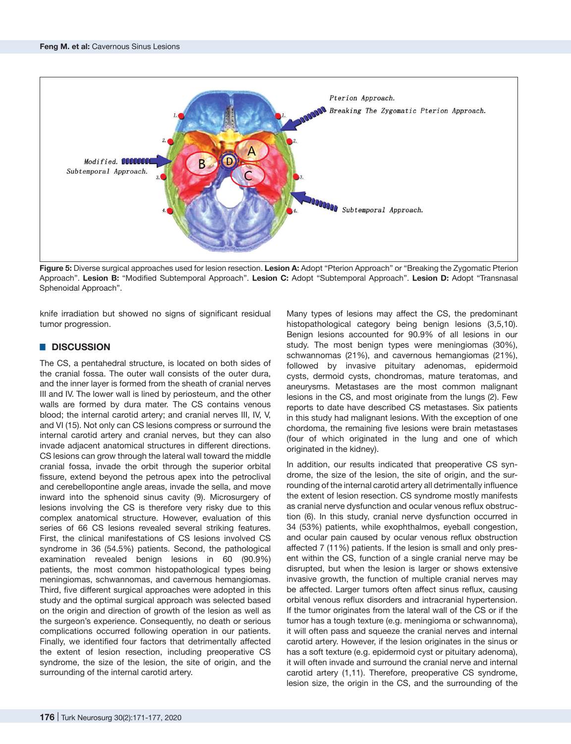

**Figure 5:** Diverse surgical approaches used for lesion resection. **Lesion A:** Adopt "Pterion Approach" or "Breaking the Zygomatic Pterion Approach". **Lesion B:** "Modified Subtemporal Approach". **Lesion C:** Adopt "Subtemporal Approach". **Lesion D:** Adopt "Transnasal Sphenoidal Approach".

knife irradiation but showed no signs of significant residual tumor progression.

# █ **DISCUSSION**

The CS, a pentahedral structure, is located on both sides of the cranial fossa. The outer wall consists of the outer dura, and the inner layer is formed from the sheath of cranial nerves III and IV. The lower wall is lined by periosteum, and the other walls are formed by dura mater. The CS contains venous blood; the internal carotid artery; and cranial nerves III, IV, V, and VI (15). Not only can CS lesions compress or surround the internal carotid artery and cranial nerves, but they can also invade adjacent anatomical structures in different directions. CS lesions can grow through the lateral wall toward the middle cranial fossa, invade the orbit through the superior orbital fissure, extend beyond the petrous apex into the petroclival and cerebellopontine angle areas, invade the sella, and move inward into the sphenoid sinus cavity (9). Microsurgery of lesions involving the CS is therefore very risky due to this complex anatomical structure. However, evaluation of this series of 66 CS lesions revealed several striking features. First, the clinical manifestations of CS lesions involved CS syndrome in 36 (54.5%) patients. Second, the pathological examination revealed benign lesions in 60 (90.9%) patients, the most common histopathological types being meningiomas, schwannomas, and cavernous hemangiomas. Third, five different surgical approaches were adopted in this study and the optimal surgical approach was selected based on the origin and direction of growth of the lesion as well as the surgeon's experience. Consequently, no death or serious complications occurred following operation in our patients. Finally, we identified four factors that detrimentally affected the extent of lesion resection, including preoperative CS syndrome, the size of the lesion, the site of origin, and the surrounding of the internal carotid artery.

Many types of lesions may affect the CS, the predominant histopathological category being benign lesions (3,5,10). Benign lesions accounted for 90.9% of all lesions in our study. The most benign types were meningiomas (30%), schwannomas (21%), and cavernous hemangiomas (21%), followed by invasive pituitary adenomas, epidermoid cysts, dermoid cysts, chondromas, mature teratomas, and aneurysms. Metastases are the most common malignant lesions in the CS, and most originate from the lungs (2). Few reports to date have described CS metastases. Six patients in this study had malignant lesions. With the exception of one chordoma, the remaining five lesions were brain metastases (four of which originated in the lung and one of which originated in the kidney).

In addition, our results indicated that preoperative CS syndrome, the size of the lesion, the site of origin, and the surrounding of the internal carotid artery all detrimentally influence the extent of lesion resection. CS syndrome mostly manifests as cranial nerve dysfunction and ocular venous reflux obstruction (6). In this study, cranial nerve dysfunction occurred in 34 (53%) patients, while exophthalmos, eyeball congestion, and ocular pain caused by ocular venous reflux obstruction affected 7 (11%) patients. If the lesion is small and only present within the CS, function of a single cranial nerve may be disrupted, but when the lesion is larger or shows extensive invasive growth, the function of multiple cranial nerves may be affected. Larger tumors often affect sinus reflux, causing orbital venous reflux disorders and intracranial hypertension. If the tumor originates from the lateral wall of the CS or if the tumor has a tough texture (e.g. meningioma or schwannoma), it will often pass and squeeze the cranial nerves and internal carotid artery. However, if the lesion originates in the sinus or has a soft texture (e.g. epidermoid cyst or pituitary adenoma), it will often invade and surround the cranial nerve and internal carotid artery (1,11). Therefore, preoperative CS syndrome, lesion size, the origin in the CS, and the surrounding of the